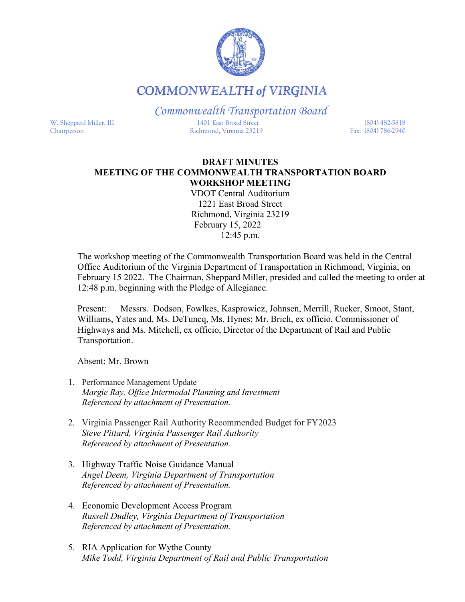

## **COMMONWEALTH of VIRGINIA**

*Commonwealth Transportation Board* W. Sheppard Miller, III 1401 East Broad Street (804) 482-5818 Chairperson Richmond, Virginia 23219 Fax: (804) 786-2940

## **DRAFT MINUTES MEETING OF THE COMMONWEALTH TRANSPORTATION BOARD WORKSHOP MEETING**

VDOT Central Auditorium 1221 East Broad Street Richmond, Virginia 23219 February 15, 2022 12:45 p.m.

The workshop meeting of the Commonwealth Transportation Board was held in the Central Office Auditorium of the Virginia Department of Transportation in Richmond, Virginia, on February 15 2022. The Chairman, Sheppard Miller, presided and called the meeting to order at 12:48 p.m. beginning with the Pledge of Allegiance.

Present: Messrs. Dodson, Fowlkes, Kasprowicz, Johnsen, Merrill, Rucker, Smoot, Stant, Williams, Yates and, Ms. DeTuncq, Ms. Hynes; Mr. Brich, ex officio, Commissioner of Highways and Ms. Mitchell, ex officio, Director of the Department of Rail and Public Transportation.

Absent: Mr. Brown

- 1. Performance Management Update *Margie Ray, Office Intermodal Planning and Investment Referenced by attachment of Presentation.*
- 2. Virginia Passenger Rail Authority Recommended Budget for FY2023 *Steve Pittard, Virginia Passenger Rail Authority Referenced by attachment of Presentation.*
- 3. Highway Traffic Noise Guidance Manual *Angel Deem, Virginia Department of Transportation Referenced by attachment of Presentation.*
- 4. Economic Development Access Program *Russell Dudley, Virginia Department of Transportation Referenced by attachment of Presentation.*
- 5. RIA Application for Wythe County *Mike Todd, Virginia Department of Rail and Public Transportation*